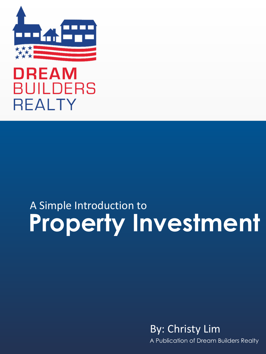

#### **REAM BUILDERS REALTY**

#### **Property Investment** A Simple Introduction to

**By: Christy Lim** 

A Publication of Dream Builders Realty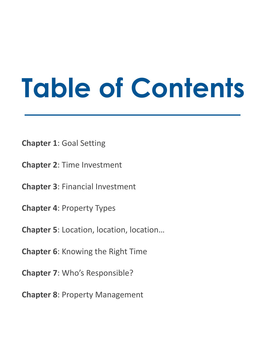# **Table of Contents**

- **Chapter 1: Goal Setting**
- **Chapter 2: Time Investment**
- **Chapter 3: Financial Investment**
- **Chapter 4: Property Types**
- **Chapter 5: Location, location, location...**
- **Chapter 6: Knowing the Right Time**
- **Chapter 7: Who's Responsible?**
- **Chapter 8: Property Management**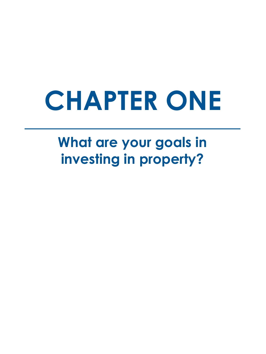## **CHAPTER ONE**

**What are your goals in investing in property?**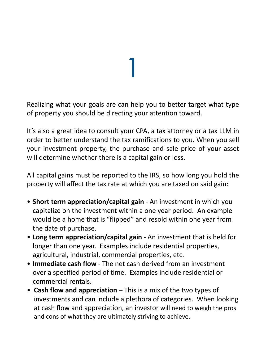Realizing what your goals are can help you to better target what type of property you should be directing your attention toward.

1

It's also a great idea to consult your CPA, a tax attorney or a tax LLM in order to better understand the tax ramifications to you. When you sell your investment property, the purchase and sale price of your asset will determine whether there is a capital gain or loss.

All capital gains must be reported to the IRS, so how long you hold the property will affect the tax rate at which you are taxed on said gain:

- **Short term appreciation/capital gain** An investment in which you capitalize on the investment within a one year period. An example would be a home that is "flipped" and resold within one year from the date of purchase.
- Long term appreciation/capital gain An investment that is held for longer than one year. Examples include residential properties, agricultural, industrial, commercial properties, etc.
- **Immediate cash flow** The net cash derived from an investment over a specified period of time. Examples include residential or commercial rentals.
- **Cash flow and appreciation** This is a mix of the two types of investments and can include a plethora of categories. When looking at cash flow and appreciation, an investor will need to weigh the pros and cons of what they are ultimately striving to achieve.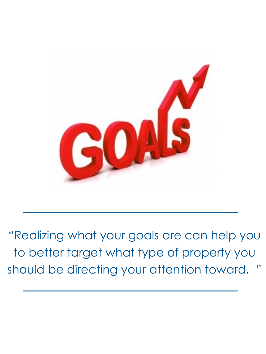

"Realizing what your goals are can help you to better target what type of property you should be directing your attention toward.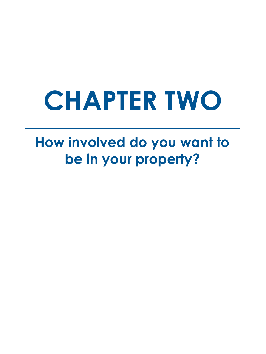## **CHAPTER TWO**

#### **How involved do you want to be in your property?**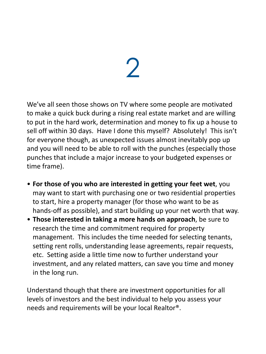We've all seen those shows on TV where some people are motivated to make a quick buck during a rising real estate market and are willing to put in the hard work, determination and money to fix up a house to sell off within 30 days. Have I done this myself? Absolutely! This isn't for everyone though, as unexpected issues almost inevitably pop up and you will need to be able to roll with the punches (especially those punches that include a major increase to your budgeted expenses or time frame).

- For those of you who are interested in getting your feet wet, you may want to start with purchasing one or two residential properties to start, hire a property manager (for those who want to be as hands-off as possible), and start building up your net worth that way.
- **Those interested in taking a more hands on approach**, be sure to research the time and commitment required for property management. This includes the time needed for selecting tenants, setting rent rolls, understanding lease agreements, repair requests, etc. Setting aside a little time now to further understand your investment, and any related matters, can save you time and money in the long run.

Understand though that there are investment opportunities for all levels of investors and the best individual to help you assess your needs and requirements will be your local Realtor<sup>®</sup>.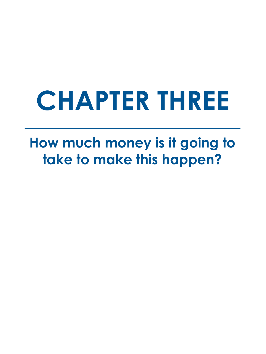## **CHAPTER THREE**

**How much money is it going to take to make this happen?**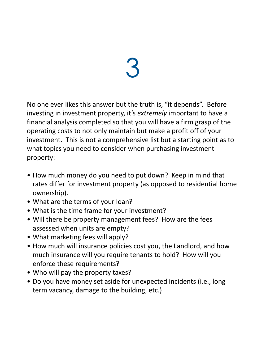No one ever likes this answer but the truth is, "it depends". Before investing in investment property, it's *extremely* important to have a financial analysis completed so that you will have a firm grasp of the operating costs to not only maintain but make a profit off of your investment. This is not a comprehensive list but a starting point as to what topics you need to consider when purchasing investment property:

- How much money do you need to put down? Keep in mind that rates differ for investment property (as opposed to residential home ownership).
- What are the terms of your loan?
- What is the time frame for your investment?
- Will there be property management fees? How are the fees assessed when units are empty?
- What marketing fees will apply?
- How much will insurance policies cost you, the Landlord, and how much insurance will you require tenants to hold? How will you enforce these requirements?
- Who will pay the property taxes?
- Do you have money set aside for unexpected incidents (i.e., long term vacancy, damage to the building, etc.)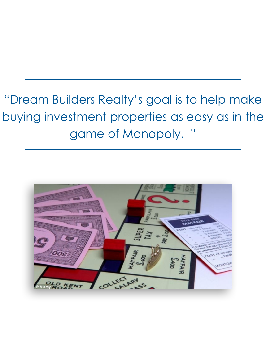#### "Dream Builders Realty's goal is to help make buying investment properties as easy as in the game of Monopoly. "

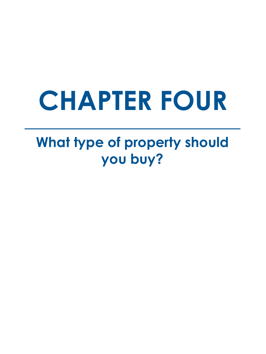## **CHAPTER FOUR**

#### **What type of property should you buy?**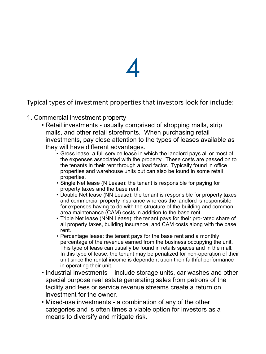Typical types of investment properties that investors look for include:

- 1. Commercial investment property
	- Retail investments usually comprised of shopping malls, strip malls, and other retail storefronts. When purchasing retail investments, pay close attention to the types of leases available as they will have different advantages.
		- Gross lease: a full service lease in which the landlord pays all or most of the expenses associated with the property. These costs are passed on to the tenants in their rent through a load factor. Typically found in office properties and warehouse units but can also be found in some retail properties.
		- Single Net lease (N Lease): the tenant is responsible for paying for property taxes and the base rent.
		- Double Net lease (NN Lease): the tenant is responsible for property taxes and commercial property insurance whereas the landlord is responsible for expenses having to do with the structure of the building and common area maintenance (CAM) costs in addition to the base rent.
		- Triple Net lease (NNN Lease): the tenant pays for their pro-rated share of all property taxes, building insurance, and CAM costs along with the base rent.
		- Percentage lease: the tenant pays for the base rent and a monthly percentage of the revenue earned from the business occupying the unit. This type of lease can usually be found in retails spaces and in the mall. In this type of lease, the tenant may be penalized for non-operation of their unit since the rental income is dependent upon their faithful performance in operating their unit.
	- Industrial investments include storage units, car washes and other special purpose real estate generating sales from patrons of the facility and fees or service revenue streams create a return on investment for the owner.
	- Mixed-use investments a combination of any of the other categories and is often times a viable option for investors as a means to diversify and mitigate risk.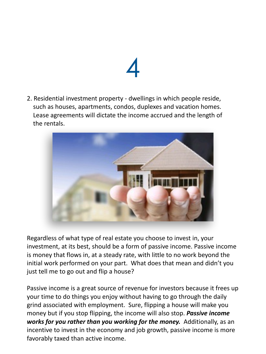

2. Residential investment property - dwellings in which people reside, such as houses, apartments, condos, duplexes and vacation homes. Lease agreements will dictate the income accrued and the length of the rentals.



Regardless of what type of real estate you choose to invest in, your investment, at its best, should be a form of passive income. Passive income is money that flows in, at a steady rate, with little to no work beyond the initial work performed on your part. What does that mean and didn't you just tell me to go out and flip a house?

Passive income is a great source of revenue for investors because it frees up your time to do things you enjoy without having to go through the daily grind associated with employment. Sure, flipping a house will make you money but if you stop flipping, the income will also stop. Passive income works for you rather than you working for the money. Additionally, as an incentive to invest in the economy and job growth, passive income is more favorably taxed than active income.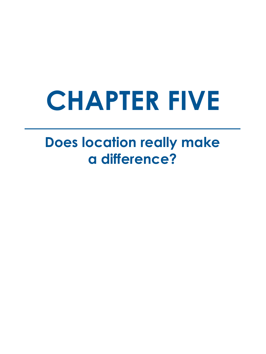### **CHAPTER FIVE**

#### **Does location really make a difference?**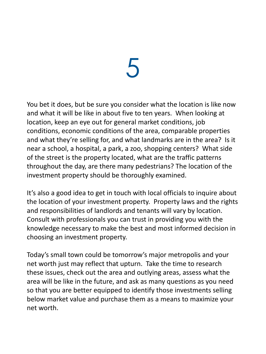You bet it does, but be sure you consider what the location is like now and what it will be like in about five to ten years. When looking at location, keep an eye out for general market conditions, job conditions, economic conditions of the area, comparable properties and what they're selling for, and what landmarks are in the area? Is it near a school, a hospital, a park, a zoo, shopping centers? What side of the street is the property located, what are the traffic patterns throughout the day, are there many pedestrians? The location of the investment property should be thoroughly examined.

It's also a good idea to get in touch with local officials to inquire about the location of your investment property. Property laws and the rights and responsibilities of landlords and tenants will vary by location. Consult with professionals you can trust in providing you with the knowledge necessary to make the best and most informed decision in choosing an investment property.

Today's small town could be tomorrow's major metropolis and your net worth just may reflect that upturn. Take the time to research these issues, check out the area and outlying areas, assess what the area will be like in the future, and ask as many questions as you need so that you are better equipped to identify those investments selling below market value and purchase them as a means to maximize your net worth.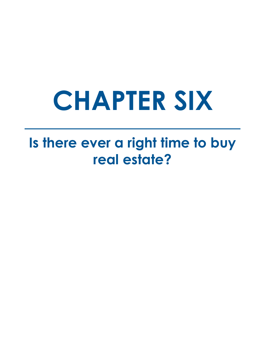### **CHAPTER SIX**

**Is there ever a right time to buy real estate?**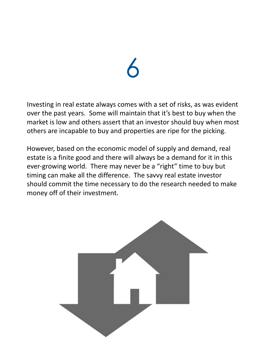Investing in real estate always comes with a set of risks, as was evident over the past years. Some will maintain that it's best to buy when the market is low and others assert that an investor should buy when most others are incapable to buy and properties are ripe for the picking.

However, based on the economic model of supply and demand, real estate is a finite good and there will always be a demand for it in this ever-growing world. There may never be a "right" time to buy but timing can make all the difference. The savvy real estate investor should commit the time necessary to do the research needed to make money off of their investment.

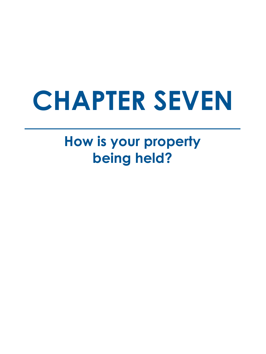### **CHAPTER SEVEN**

#### **How is your property being held?**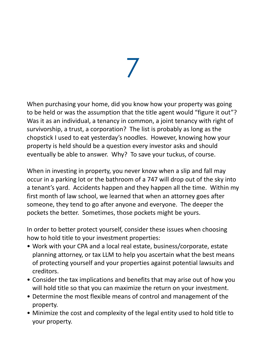When purchasing your home, did you know how your property was going to be held or was the assumption that the title agent would "figure it out"? Was it as an individual, a tenancy in common, a joint tenancy with right of survivorship, a trust, a corporation? The list is probably as long as the chopstick I used to eat yesterday's noodles. However, knowing how your property is held should be a question every investor asks and should eventually be able to answer. Why? To save your tuckus, of course.

When in investing in property, you never know when a slip and fall may occur in a parking lot or the bathroom of a 747 will drop out of the sky into a tenant's yard. Accidents happen and they happen all the time. Within my first month of law school, we learned that when an attorney goes after someone, they tend to go after anyone and everyone. The deeper the pockets the better. Sometimes, those pockets might be yours.

In order to better protect yourself, consider these issues when choosing how to hold title to your investment properties:

- Work with your CPA and a local real estate, business/corporate, estate planning attorney, or tax LLM to help you ascertain what the best means of protecting yourself and your properties against potential lawsuits and creditors.
- Consider the tax implications and benefits that may arise out of how you will hold title so that you can maximize the return on your investment.
- Determine the most flexible means of control and management of the property.
- Minimize the cost and complexity of the legal entity used to hold title to your property.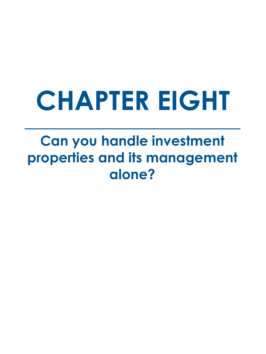## **CHAPTER EIGHT**

#### **Can you handle investment properties and its management alone?**